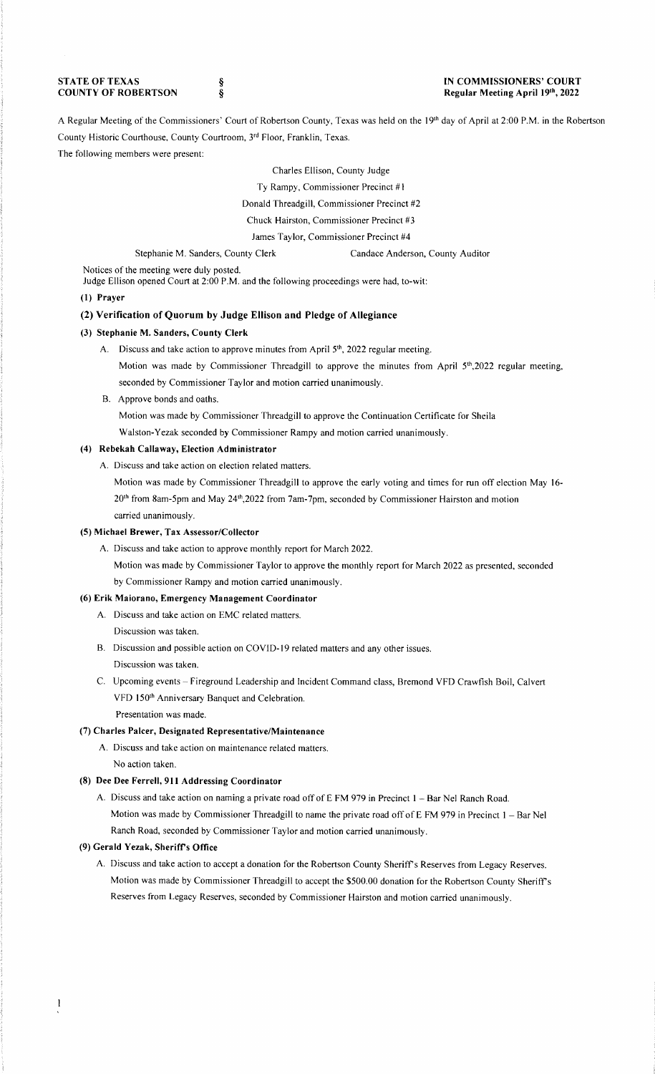**STATE OF TEXAS COUNTY OF ROBERTSON**  § §

#### **IN COMMISSIONERS' COURT Regular Meeting April 19th, 2022**

A Regular Meeting of the Commissioners' Court of Robertson County, Texas was held on the 19th day of April at 2:00 P.M. in the Robertson County Historic Courthouse, County Courtroom, 3rd Floor, Franklin, Texas.

### The following members were present:

Charles Ellison, County Judge

Ty Rampy, Commissioner Precinct #1

Donald Threadgill, Commissioner Precinct #2

Chuck Hairston, Commissioner Precinct #3

James Taylor, Commissioner Precinct #4

Stephanie M. Sanders, County Clerk Candace Anderson, County Auditor

Notices of the meeting were duly posted.

Judge Ellison opened Court at 2:00 P.M. and the following proceedings were had, to-wit:

## **(1) Prayer**

## **(2) Verification of Quorum by Judge Ellison and Pledge of Allegiance**

## **(3) Stephanie M. Sanders, County Clerk**

- A. Discuss and take action to approve minutes from April  $5<sup>th</sup>$ , 2022 regular meeting.
	- Motion was made by Commissioner Threadgill to approve the minutes from April  $5<sup>th</sup>$ ,2022 regular meeting, seconded by Commissioner Taylor and motion carried unanimously.
- B. Approve bonds and oaths.

Motion was made by Commissioner Threadgill to approve the Continuation Certificate for Sheila

Walston-Yezak seconded by Commissioner Rampy and motion carried unanimously.

# **(4) Rebekah Callaway, Election Administrator**

A. Discuss and take action on election related matters.

Motion was made by Commissioner Threadgill to approve the early voting and times for run off election May 16- 20th from 8am-5pm and May 24th,2022 from 7am-7pm, seconded by Commissioner Hairston and motion carried unanimously.

#### **(5) Michael Brewer, Tax Assessor/Collector**

A. Discuss and take action to approve monthly report for March 2022.

Motion was made by Commissioner Taylor to approve the monthly report for March 2022 as presented, seconded by Commissioner Rampy and motion carried unanimously.

#### **(6) Erik Maiorano, Emergency Management Coordinator**

- A. Discuss and take action on EMC related matters. Discussion was taken.
- B. Discussion and possible action on COVID-19 related matters and any other issues. Discussion was taken.
- C. Upcoming events Fireground Leadership and Incident Command class, Bremond VFD Crawfish Boil, Calvert VFD 150<sup>th</sup> Anniversary Banquet and Celebration.
	- Presentation was made.

### (7) **Charles Palcer, Designated Representative/Maintenance**

A. Discuss and take action on maintenance related matters. No action taken.

### **(8) Dee Dee Ferrell, 911 Addressing Coordinator**

A. Discuss and take action on naming a private road off of E FM 979 in Precinct I - Bar Ne! Ranch Road. Motion was made by Commissioner Threadgill to name the private road off of E FM 979 in Precinct  $1 - Bar$  Nel Ranch Road, seconded by Commissioner Taylor and motion carried unanimously.

### **(9) Gerald Yezak, Sherifrs Office**

A. Discuss and take action to accept a donation for the Robertson County Sheriff's Reserves from Legacy Reserves. Motion was made by Commissioner Threadgill to accept the \$500.00 donation for the Robertson County Sheriff's Reserves from Legacy Reserves, seconded by Commissioner Hairston and motion carried unanimously.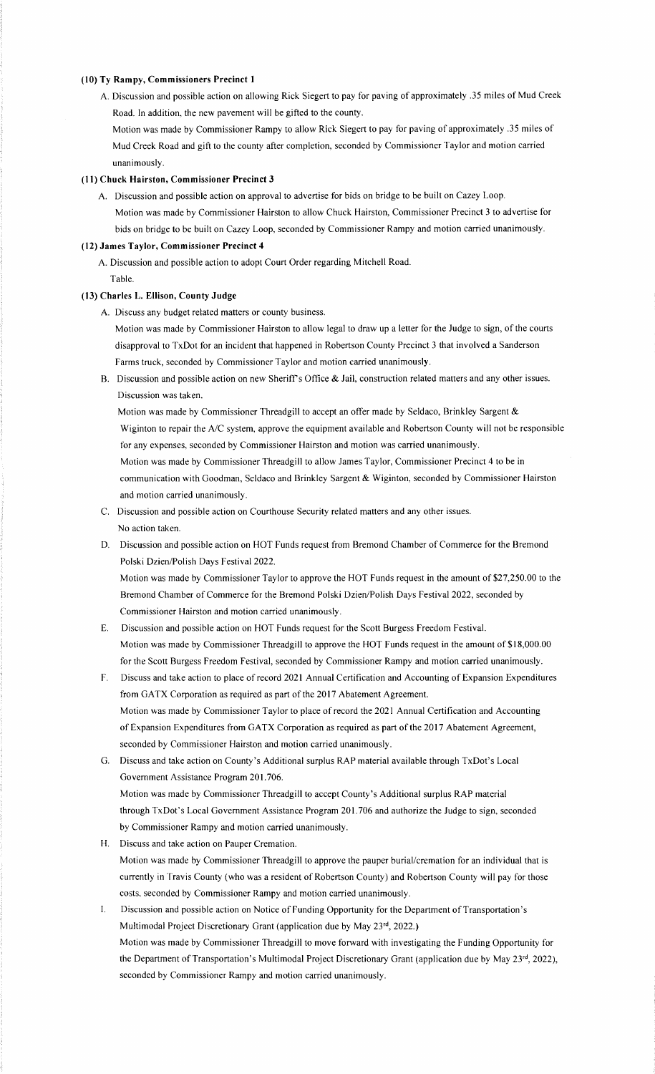#### **(10) Ty Rampy, Commissioners Precinct I**

A. Discussion and possible action on allowing Rick Siegert to pay for paving of approximately .35 miles of Mud Creek Road. In addition, the new pavement will be gifted to the county.

Motion was made by Commissioner Rampy to allow Rick Siegert to pay for paving of approximately .35 miles of Mud Creek Road and gift to the county after completion, seconded by Commissioner Taylor and motion carried unanimously.

### **(11) Chuck Hairston, Commissioner Precinct 3**

A. Discussion and possible action on approval to advertise for bids on bridge to be built on Cazey Loop. Motion was made by Commissioner Hairston to allow Chuck Hairston, Commissioner Precinct 3 to advertise for bids on bridge to be built on Cazey Loop, seconded by Commissioner Rampy and motion carried unanimously.

#### **(12) James Taylor, Commissioner Precinct 4**

A. Discussion and possible action to adopt Court Order regarding Mitchell Road. Table.

#### **(13) Charles L. Ellison, County Judge**

A. Discuss any budget related matters or county business.

Motion was made by Commissioner Hairston to allow legal to draw up a letter for the Judge to sign, of the courts disapproval to TxDot for an incident that happened in Robertson County Precinct 3 that involved a Sanderson Farms truck, seconded by Commissioner Taylor and motion carried unanimously.

B. Discussion and possible action on new Sheriff's Office & Jail, construction related matters and any other issues. Discussion was taken.

Motion was made by Commissioner Threadgill to accept an offer made by Seldaco, Brinkley Sargent & Wiginton to repair the A/C system, approve the equipment available and Robertson County will not be responsible for any expenses, seconded by Commissioner Hairston and motion was carried unanimously. Motion was made by Commissioner Threadgill to allow James Taylor, Commissioner Precinct 4 to be in

communication with Goodman, Seldaco and Brinkley Sargent & Wiginton, seconded by Commissioner Hairston and motion carried unanimously.

- C. Discussion and possible action on Courthouse Security related matters and any other issues. No action taken.
- D. Discussion and possible action on HOT Funds request from Bremond Chamber of Commerce for the Bremond Polski Dzien/Polish Days Festival 2022.

Motion was made by Commissioner Taylor to approve the HOT Funds request **in** the amount of \$27,250.00 to the Bremond Chamber of Commerce for the Bremond Polski Dzien/Polish Days Festival 2022, seconded by Commissioner Hairston and motion carried unanimously.

- E. Discussion and possible action on HOT Funds request for the Scott Burgess Freedom Festival. Motion was made by Commissioner Threadgill to approve the HOT Funds request in the amount of \$18,000.00 for the Scott Burgess Freedom Festival, seconded by Commissioner Rampy and motion carried unanimously.
- F. Discuss and take action to place of record 2021 Annual Certification and Accounting of Expansion Expenditures from GATX Corporation as required as part of the 2017 Abatement Agreement. Motion was made by Commissioner Taylor to place of record the 2021 Annual Certification and Accounting of Expansion Expenditures from GATX Corporation as required as part of the 2017 Abatement Agreement, seconded by Commissioner Hairston and motion carried unanimously.
- G. Discuss and take action on County's Additional surplus RAP material available through TxDot's Local Government Assistance Program 201.706. Motion was made by Commissioner Threadgill to accept County's Additional surplus RAP material through TxDot's Local Government Assistance Program 201.706 and authorize the Judge to sign, seconded by Commissioner Rampy and motion carried unanimously.
- **H.** Discuss and take action on Pauper Cremation. Motion was made by Commissioner Threadgill to approve the pauper burial/cremation for an individual that is currently in Travis County (who was a resident of Robertson County) and Robertson County will pay for those costs, seconded by Commissioner Rampy and motion carried unanimously.
- I. Discussion and possible action on Notice of Funding Opportunity for the Department of Transportation's Multimodal Project Discretionary Grant (application due by May 23rd, 2022.) Motion was made by Commissioner Threadgill to move forward with investigating the Funding Opportunity for the Department of Transportation's Multimodal Project Discretionary Grant (application due by May 23rd, 2022), seconded by Commissioner Rampy and motion carried unanimously.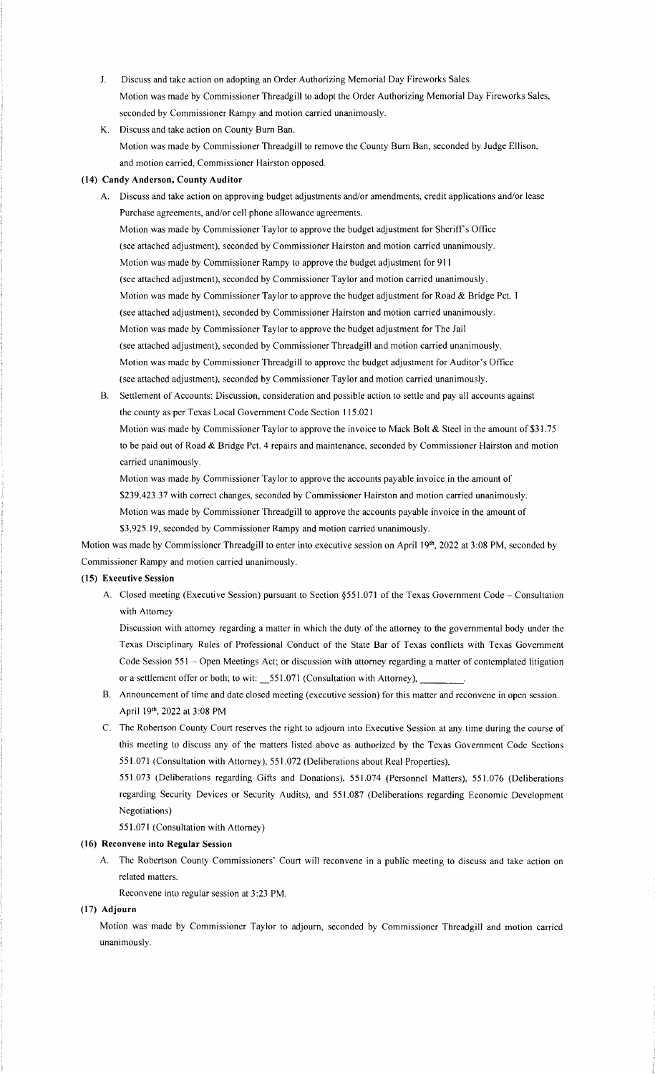- J. Discuss and take action on adopting an Order Authorizing Memorial Day Fireworks Sales. Motion was made by Commissioner Threadgill to adopt the Order Authorizing Memorial Day Fireworks Sales, seconded by Commissioner Rampy and motion carried unanimously.
- K. Discuss and take action on County Bum Ban. Motion was made by Commissioner Threadgill to remove the County Bum Ban, seconded by Judge Ellison, and motion carried, Commissioner Hairston opposed.

### **(14) Candy Anderson, County Auditor**

A. Discuss and take action on approving budget adjustments and/or amendments, credit applications and/or lease Purchase agreements, and/or cell phone allowance agreements. Motion was made by Commissioner Taylor to approve the budget adjustment for Sheriffs Office (see attached adjustment), seconded by Commissioner Hairston and motion carried unanimously. Motion was made by Commissioner Rampy to approve the budget adjustment for 911 (see attached adjustment), seconded by Commissioner Taylor and motion carried unanimously. Motion was made by Commissioner Taylor to approve the budget adjustment for Road & Bridge Pct. I (see attached adjustment), seconded by Commissioner Hairston and motion carried unanimously. Motion was made by Commissioner Taylor to approve the budget adjustment for The Jail (see attached adjustment), seconded by Commissioner Threadgill and motion carried unanimously. Motion was made by Commissioner Threadgill to approve the budget adjustment for Auditor's Office (see attached adjustment), seconded by Commissioner Taylor and motion carried unanimously.

B. Settlement of Accounts: Discussion, consideration and possible action to settle and pay all accounts against the county as per Texas Local Government Code Section 115.021 Motion was made by Commissioner Taylor to approve the invoice to Mack Bolt & Steel in the amount of \$31.75 to be paid out of Road & Bridge Pct. 4 repairs and maintenance, seconded by Commissioner Hairston and motion

Motion was made by Commissioner Taylor to approve the accounts payable invoice in the amount of

\$239,423.37 with correct changes, seconded by Commissioner Hairston and motion carried unanimously.

Motion was made by Commissioner Threadgill to approve the accounts payable invoice in the amount of

\$3,925.19, seconded by Commissioner Rampy and motion carried unanimously.

Motion was made by Commissioner Threadgill to enter into executive session on April 19th, 2022 at 3:08 PM, seconded by Commissioner Rampy and motion carried unanimously.

#### **(15) Executive Session**

carried unanimously.

A. Closed meeting (Executive Session) pursuant to Section §551.071 of the Texas Government Code - Consultation with Attorney

Discussion with attorney regarding a matter in which the duty of the attorney to the governmental body under the Texas Disciplinary Rules of Professional Conduct of the State Bar of Texas conflicts with Texas Government Code Session 551 - Open Meetings Act; or discussion with attorney regarding a matter of contemplated litigation or a settlement offer or both; to wit:  $\_551.071$  (Consultation with Attorney),

- B. Announcement of time and date closed meeting ( executive session) for this matter and reconvene in open session. April 19th, 2022 at 3:08 PM
- C. The Robertson County Court reserves the right to adjourn into Executive Session at any time during the course of this meeting to discuss any of the matters listed above as authorized by the Texas Government Code Sections 551.07 I (Consultation with Attorney), 551.072 (Deliberations about Real Properties),

551.073 (Deliberations regarding Gifts and Donations), 551.074 (Personnel Matters), 551.076 (Deliberations regarding Security Devices or Security Audits), and 551.087 (Deliberations regarding Economic Development Negotiations)

551.071 (Consultation with Attorney)

### **(16) Reconvene into Regular Session**

A. The Robertson County Commissioners' Court will reconvene in a public meeting to discuss and take action on related matters.

Reconvene into regular session at 3:23 PM.

#### **(17) Adjourn**

Motion was made by Commissioner Taylor to adjourn, seconded by Commissioner Threadgill and motion carried unanimously.